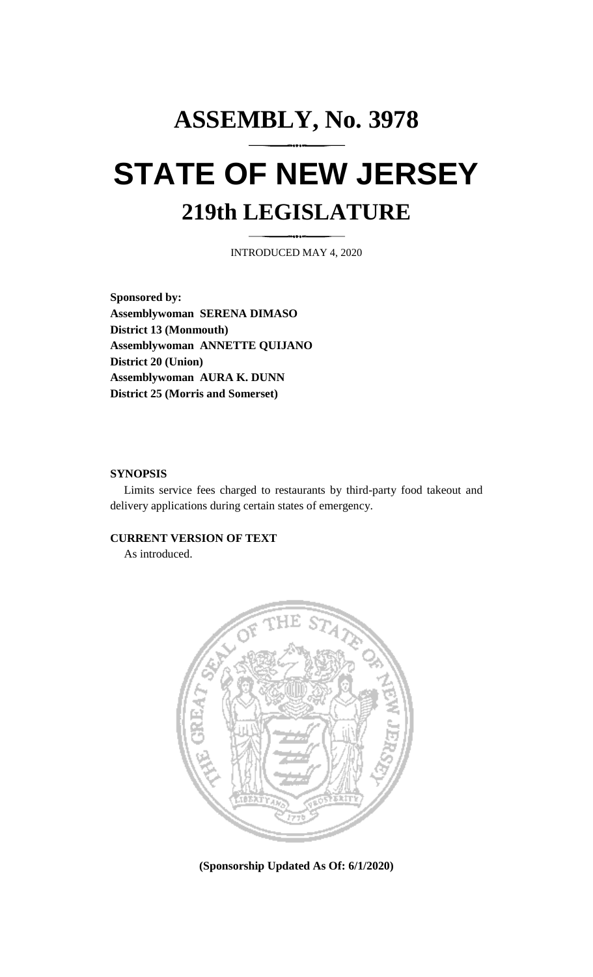## **ASSEMBLY, No. 3978 STATE OF NEW JERSEY 219th LEGISLATURE**

INTRODUCED MAY 4, 2020

**Sponsored by: Assemblywoman SERENA DIMASO District 13 (Monmouth) Assemblywoman ANNETTE QUIJANO District 20 (Union) Assemblywoman AURA K. DUNN District 25 (Morris and Somerset)**

## **SYNOPSIS**

Limits service fees charged to restaurants by third-party food takeout and delivery applications during certain states of emergency.

## **CURRENT VERSION OF TEXT**

As introduced.



**(Sponsorship Updated As Of: 6/1/2020)**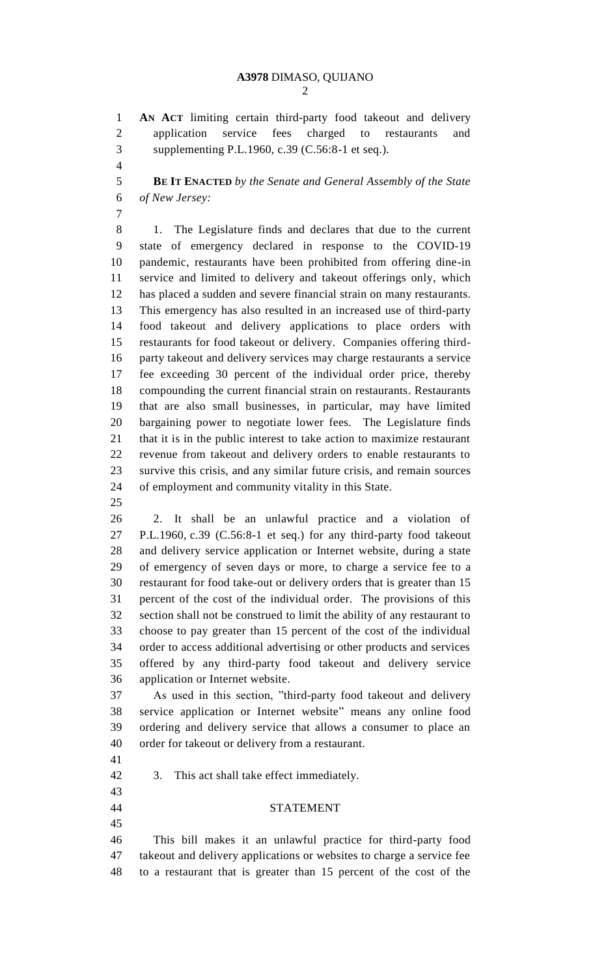**AN ACT** limiting certain third-party food takeout and delivery application service fees charged to restaurants and supplementing P.L.1960, c.39 (C.56:8-1 et seq.).

 **BE IT ENACTED** *by the Senate and General Assembly of the State of New Jersey:*

 1. The Legislature finds and declares that due to the current state of emergency declared in response to the COVID-19 pandemic, restaurants have been prohibited from offering dine-in service and limited to delivery and takeout offerings only, which has placed a sudden and severe financial strain on many restaurants. This emergency has also resulted in an increased use of third-party food takeout and delivery applications to place orders with restaurants for food takeout or delivery. Companies offering third- party takeout and delivery services may charge restaurants a service fee exceeding 30 percent of the individual order price, thereby compounding the current financial strain on restaurants. Restaurants that are also small businesses, in particular, may have limited bargaining power to negotiate lower fees. The Legislature finds that it is in the public interest to take action to maximize restaurant revenue from takeout and delivery orders to enable restaurants to survive this crisis, and any similar future crisis, and remain sources of employment and community vitality in this State.

 2. It shall be an unlawful practice and a violation of P.L.1960, c.39 (C.56:8-1 et seq.) for any third-party food takeout and delivery service application or Internet website, during a state of emergency of seven days or more, to charge a service fee to a restaurant for food take-out or delivery orders that is greater than 15 percent of the cost of the individual order. The provisions of this section shall not be construed to limit the ability of any restaurant to choose to pay greater than 15 percent of the cost of the individual order to access additional advertising or other products and services offered by any third-party food takeout and delivery service application or Internet website.

 As used in this section, "third-party food takeout and delivery service application or Internet website" means any online food ordering and delivery service that allows a consumer to place an order for takeout or delivery from a restaurant.

- 
- 3. This act shall take effect immediately.
- STATEMENT
- 

 This bill makes it an unlawful practice for third-party food takeout and delivery applications or websites to charge a service fee to a restaurant that is greater than 15 percent of the cost of the